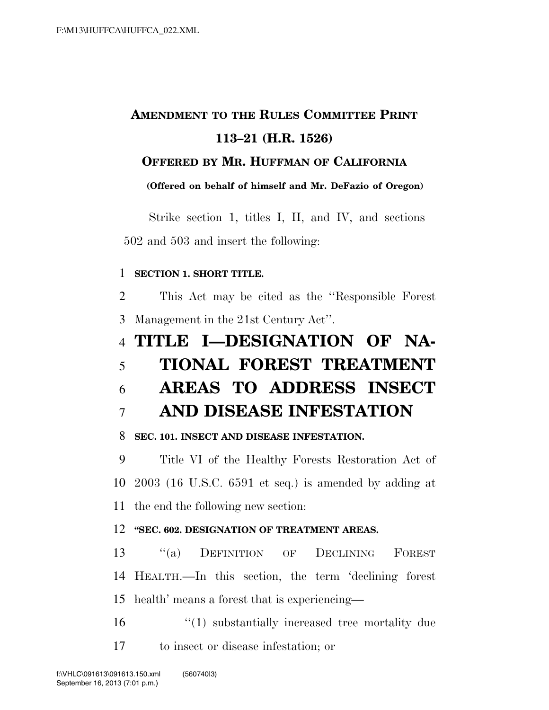## **AMENDMENT TO THE RULES COMMITTEE PRINT 113–21 (H.R. 1526)**

### **OFFERED BY MR. HUFFMAN OF CALIFORNIA**

**(Offered on behalf of himself and Mr. DeFazio of Oregon)** 

Strike section 1, titles I, II, and IV, and sections 502 and 503 and insert the following:

#### **SECTION 1. SHORT TITLE.**

 This Act may be cited as the ''Responsible Forest Management in the 21st Century Act''.

## **TITLE I—DESIGNATION OF NA-**

# **TIONAL FOREST TREATMENT**

**AREAS TO ADDRESS INSECT** 

### **AND DISEASE INFESTATION**

### **SEC. 101. INSECT AND DISEASE INFESTATION.**

 Title VI of the Healthy Forests Restoration Act of 2003 (16 U.S.C. 6591 et seq.) is amended by adding at the end the following new section:

### **''SEC. 602. DESIGNATION OF TREATMENT AREAS.**

 ''(a) DEFINITION OF DECLINING FOREST HEALTH.—In this section, the term 'declining forest health' means a forest that is experiencing—

16  $\frac{1}{2}$  (1) substantially increased tree mortality due to insect or disease infestation; or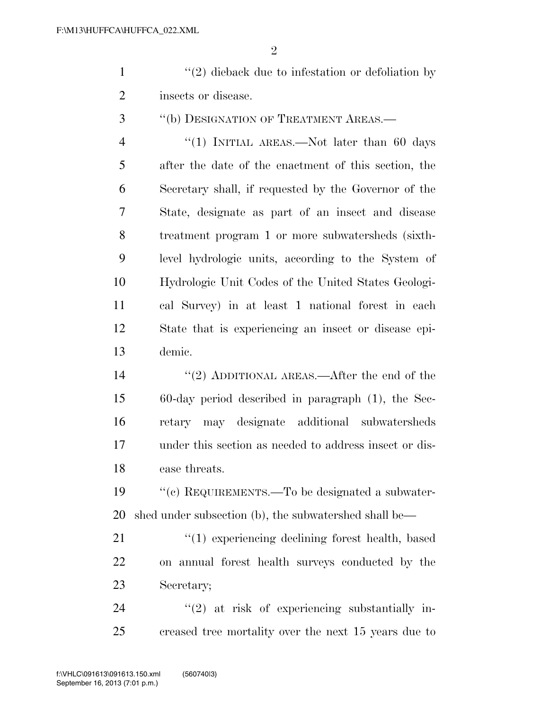$\mathfrak{D}$ 

1 ''(2) dieback due to infestation or defoliation by insects or disease.

''(b) DESIGNATION OF TREATMENT AREAS.—

4 "(1) INITIAL AREAS.—Not later than 60 days after the date of the enactment of this section, the Secretary shall, if requested by the Governor of the State, designate as part of an insect and disease treatment program 1 or more subwatersheds (sixth- level hydrologic units, according to the System of Hydrologic Unit Codes of the United States Geologi- cal Survey) in at least 1 national forest in each State that is experiencing an insect or disease epi-demic.

14 ''(2) ADDITIONAL AREAS.—After the end of the 60-day period described in paragraph (1), the Sec- retary may designate additional subwatersheds under this section as needed to address insect or dis-ease threats.

 ''(c) REQUIREMENTS.—To be designated a subwater-shed under subsection (b), the subwatershed shall be—

21 ''(1) experiencing declining forest health, based on annual forest health surveys conducted by the Secretary;

24 "(2) at risk of experiencing substantially in-creased tree mortality over the next 15 years due to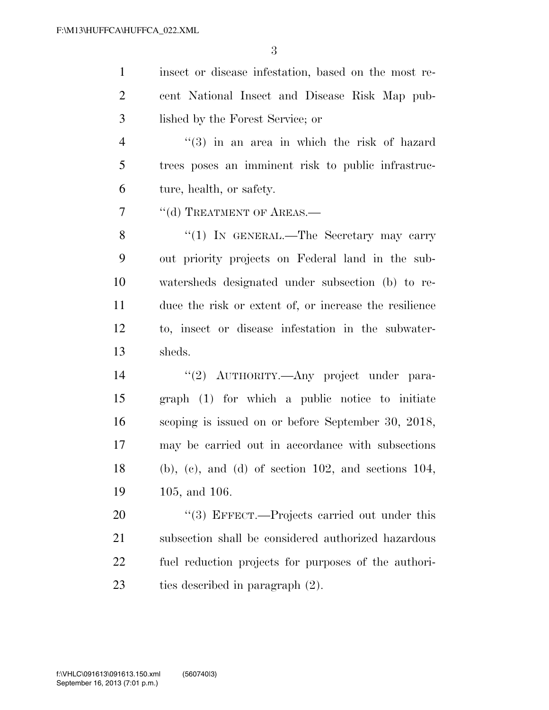| $\mathbf{1}$   | insect or disease infestation, based on the most re-        |
|----------------|-------------------------------------------------------------|
| $\overline{2}$ | cent National Insect and Disease Risk Map pub-              |
| 3              | lished by the Forest Service; or                            |
| 4              | $(3)$ in an area in which the risk of hazard                |
| 5              | trees poses an imminent risk to public infrastruc-          |
| 6              | ture, health, or safety.                                    |
| 7              | "(d) TREATMENT OF AREAS.—                                   |
| 8              | "(1) IN GENERAL.—The Secretary may carry                    |
| 9              | out priority projects on Federal land in the sub-           |
| 10             | watersheds designated under subsection (b) to re-           |
| 11             | duce the risk or extent of, or increase the resilience      |
| 12             | to, insect or disease infestation in the subwater-          |
| 13             | sheds.                                                      |
| 14             | "(2) AUTHORITY.—Any project under para-                     |
| 15             | graph (1) for which a public notice to initiate             |
| 16             | scoping is issued on or before September 30, 2018,          |
| 17             | may be carried out in accordance with subsections           |
| 18             | $(b)$ , $(c)$ , and $(d)$ of section 102, and sections 104, |
| 19             | 105, and 106.                                               |
| 20             | $\lq(3)$ EFFECT.—Projects carried out under this            |
| 21             | subsection shall be considered authorized hazardous         |
| 22             | fuel reduction projects for purposes of the authori-        |
| 23             | ties described in paragraph (2).                            |
|                |                                                             |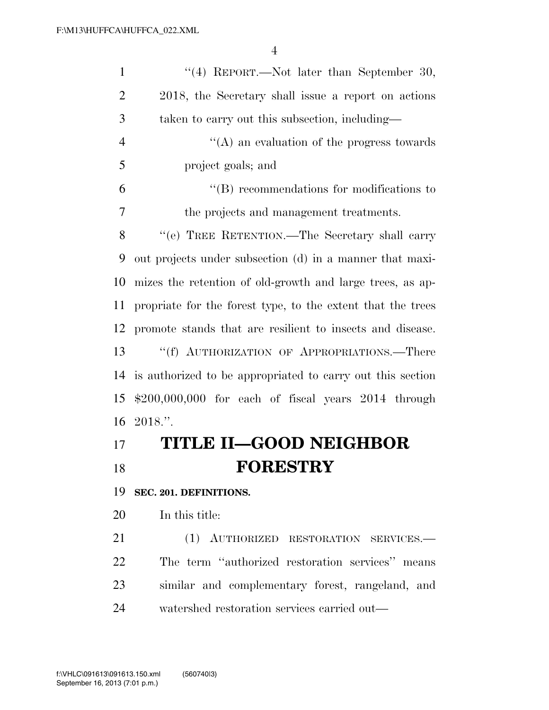| $\mathbf{1}$   | "(4) REPORT.—Not later than September 30,                   |
|----------------|-------------------------------------------------------------|
| $\overline{2}$ | 2018, the Secretary shall issue a report on actions         |
| 3              | taken to carry out this subsection, including—              |
| $\overline{4}$ | $\lq\lq$ an evaluation of the progress towards              |
| 5              | project goals; and                                          |
| 6              | $\lq\lq (B)$ recommendations for modifications to           |
| 7              | the projects and management treatments.                     |
| 8              | "(e) TREE RETENTION.—The Secretary shall carry              |
| 9              | out projects under subsection (d) in a manner that maxi-    |
| 10             | mizes the retention of old-growth and large trees, as ap-   |
| 11             | propriate for the forest type, to the extent that the trees |
| 12             | promote stands that are resilient to insects and disease.   |
| 13             | "(f) AUTHORIZATION OF APPROPRIATIONS.—There                 |
| 14             | is authorized to be appropriated to carry out this section  |
| 15             | $$200,000,000$ for each of fiscal years $2014$ through      |
| 16             | 2018."                                                      |
| 17             | <b>TITLE II-GOOD NEIGHBOR</b>                               |
| 18             | <b>FORESTRY</b>                                             |
| 19             | SEC. 201. DEFINITIONS.                                      |
| 20             | In this title:                                              |
| 21             | (1)<br>AUTHORIZED RESTORATION SERVICES.-                    |
|                |                                                             |

 The term ''authorized restoration services'' means similar and complementary forest, rangeland, and watershed restoration services carried out—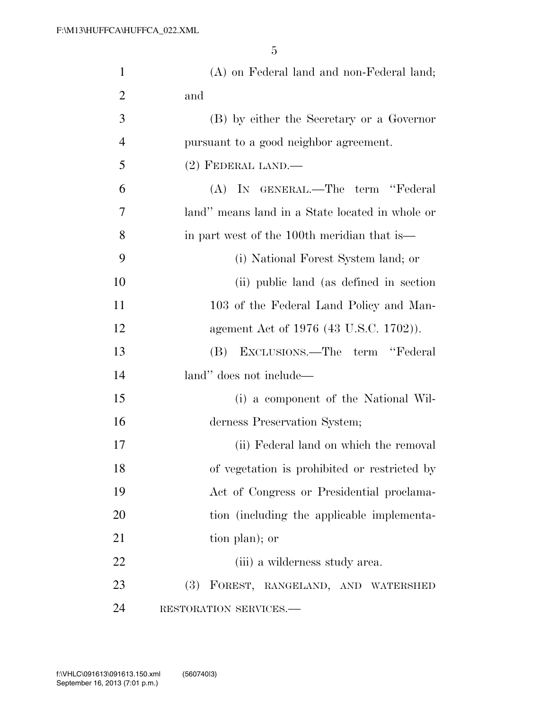| $\mathbf{1}$   | (A) on Federal land and non-Federal land;       |
|----------------|-------------------------------------------------|
| $\overline{2}$ | and                                             |
| 3              | (B) by either the Secretary or a Governor       |
| $\overline{4}$ | pursuant to a good neighbor agreement.          |
| 5              | $(2)$ FEDERAL LAND.—                            |
| 6              | (A) IN GENERAL.—The term "Federal               |
| 7              | land" means land in a State located in whole or |
| 8              | in part west of the 100th meridian that is—     |
| 9              | (i) National Forest System land; or             |
| 10             | (ii) public land (as defined in section)        |
| 11             | 103 of the Federal Land Policy and Man-         |
| 12             | agement Act of 1976 (43 U.S.C. 1702)).          |
| 13             | (B) EXCLUSIONS.—The term "Federal               |
| 14             | land" does not include—                         |
| 15             | (i) a component of the National Wil-            |
| 16             | derness Preservation System;                    |
| 17             | (ii) Federal land on which the removal          |
| 18             | of vegetation is prohibited or restricted by    |
| 19             | Act of Congress or Presidential proclama-       |
| 20             | tion (including the applicable implementa-      |
| 21             | tion plan); or                                  |
| 22             | (iii) a wilderness study area.                  |
| 23             | <b>(3)</b><br>FOREST, RANGELAND, AND WATERSHED  |
| 24             | RESTORATION SERVICES.-                          |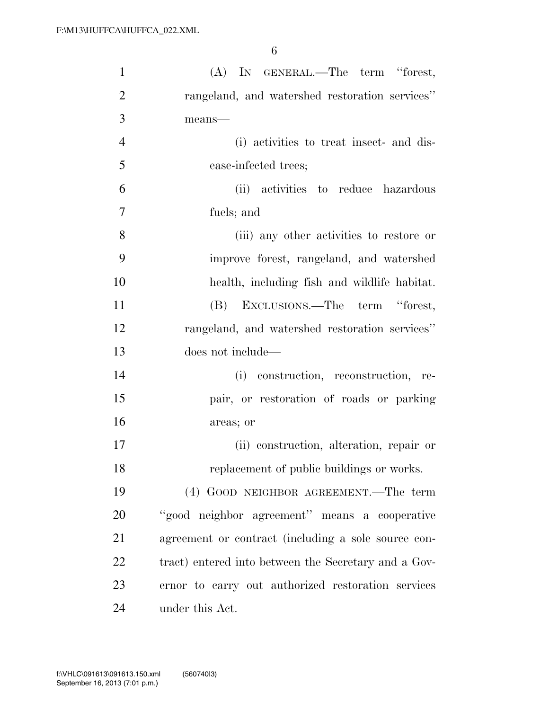| $\mathbf{1}$   | (A) IN GENERAL.—The term "forest,                    |
|----------------|------------------------------------------------------|
| $\overline{2}$ | rangeland, and watershed restoration services"       |
| 3              | $means$ —                                            |
| $\overline{4}$ | (i) activities to treat insect- and dis-             |
| 5              | ease-infected trees;                                 |
| 6              | (ii) activities to reduce hazardous                  |
| $\tau$         | fuels; and                                           |
| 8              | (iii) any other activities to restore or             |
| 9              | improve forest, rangeland, and watershed             |
| 10             | health, including fish and wildlife habitat.         |
| 11             | (B) EXCLUSIONS.—The term "forest,                    |
| 12             | rangeland, and watershed restoration services"       |
| 13             | does not include—                                    |
| 14             | (i) construction, reconstruction, re-                |
| 15             | pair, or restoration of roads or parking             |
| 16             | areas; or                                            |
| 17             | (ii) construction, alteration, repair or             |
| 18             | replacement of public buildings or works.            |
| 19             | (4) GOOD NEIGHBOR AGREEMENT.—The term                |
| 20             | "good neighbor agreement" means a cooperative        |
| 21             | agreement or contract (including a sole source con-  |
| 22             | tract) entered into between the Secretary and a Gov- |
| 23             | ernor to carry out authorized restoration services   |
| 24             | under this Act.                                      |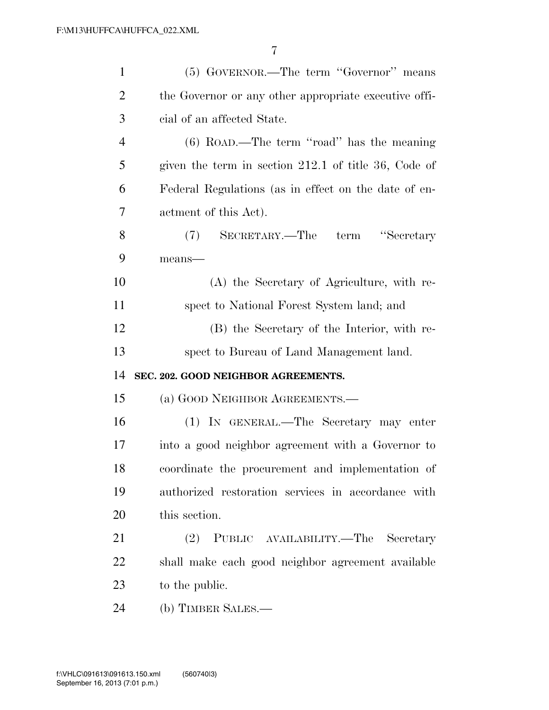| $\mathbf{1}$   | (5) GOVERNOR.—The term "Governor" means                |
|----------------|--------------------------------------------------------|
| $\overline{2}$ | the Governor or any other appropriate executive offi-  |
| 3              | cial of an affected State.                             |
| $\overline{4}$ | $(6)$ ROAD.—The term "road" has the meaning            |
| 5              | given the term in section $212.1$ of title 36, Code of |
| 6              | Federal Regulations (as in effect on the date of en-   |
| 7              | actment of this Act).                                  |
| 8              | SECRETARY.—The term "Secretary<br>(7)                  |
| 9              | means-                                                 |
| 10             | (A) the Secretary of Agriculture, with re-             |
| 11             | spect to National Forest System land; and              |
| 12             | (B) the Secretary of the Interior, with re-            |
| 13             | spect to Bureau of Land Management land.               |
| 14             | SEC. 202. GOOD NEIGHBOR AGREEMENTS.                    |
| 15             | (a) GOOD NEIGHBOR AGREEMENTS.—                         |
| 16             | (1) IN GENERAL.—The Secretary may enter                |
| 17             | into a good neighbor agreement with a Governor to      |
| 18             | coordinate the procurement and implementation of       |
| 19             | authorized restoration services in accordance with     |
| 20             | this section.                                          |
| 21             | (2)<br>PUBLIC AVAILABILITY.—The<br>Secretary           |
| 22             | shall make each good neighbor agreement available      |
| 23             |                                                        |
|                | to the public.                                         |